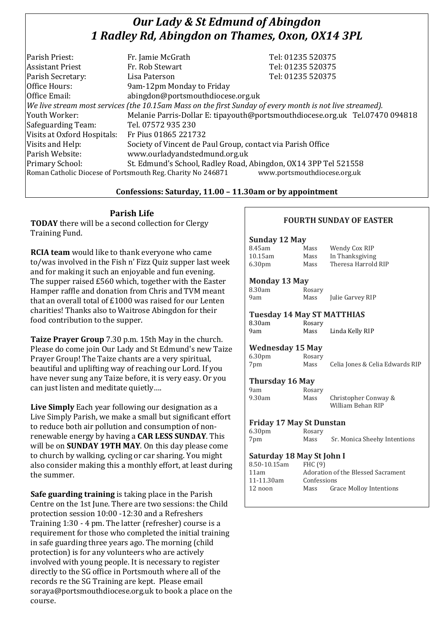# *Our Lady & St Edmund of Abingdon 1 Radley Rd, Abingdon on Thames, Oxon, OX14 3PL*

| Parish Priest:              | Fr. Jamie McGrath                                                                                        | Tel: 01235 520375                                                            |
|-----------------------------|----------------------------------------------------------------------------------------------------------|------------------------------------------------------------------------------|
| <b>Assistant Priest</b>     | Fr. Rob Stewart                                                                                          | Tel: 01235 520375                                                            |
| Parish Secretary:           | Lisa Paterson                                                                                            | Tel: 01235 520375                                                            |
| Office Hours:               | 9am-12pm Monday to Friday                                                                                |                                                                              |
| Office Email:               | abingdon@portsmouthdiocese.org.uk                                                                        |                                                                              |
|                             | We live stream most services (the 10.15am Mass on the first Sunday of every month is not live streamed). |                                                                              |
| Youth Worker:               |                                                                                                          | Melanie Parris-Dollar E: tipayouth@portsmouthdiocese.org.uk Tel.07470 094818 |
| Safeguarding Team:          | Tel. 07572 935 230                                                                                       |                                                                              |
| Visits at Oxford Hospitals: | Fr Pius 01865 221732                                                                                     |                                                                              |
| Visits and Help:            | Society of Vincent de Paul Group, contact via Parish Office                                              |                                                                              |
| Parish Website:             | www.ourladyandstedmund.org.uk                                                                            |                                                                              |
| Primary School:             | St. Edmund's School, Radley Road, Abingdon, OX14 3PP Tel 521558                                          |                                                                              |
|                             | Roman Catholic Diocese of Portsmouth Reg. Charity No 246871                                              | www.portsmouthdiocese.org.uk                                                 |

### **Confessions: Saturday, 11.00 – 11.30am or by appointment**

# **Parish Life**

**TODAY** there will be a second collection for Clergy Training Fund.

**RCIA team** would like to thank everyone who came to/was involved in the Fish n' Fizz Quiz supper last week and for making it such an enjoyable and fun evening. The supper raised £560 which, together with the Easter Hamper raffle and donation from Chris and TVM meant that an overall total of £1000 was raised for our Lenten charities! Thanks also to Waitrose Abingdon for their food contribution to the supper.

**Taize Prayer Group** 7.30 p.m. 15th May in the church. Please do come join Our Lady and St Edmund's new Taize Prayer Group! The Taize chants are a very spiritual, beautiful and uplifting way of reaching our Lord. If you have never sung any Taize before, it is very easy. Or you can just listen and meditate quietly….

**Live Simply** Each year following our designation as a Live Simply Parish, we make a small but significant effort to reduce both air pollution and consumption of nonrenewable energy by having a **CAR LESS SUNDAY**. This will be on **SUNDAY 19TH MAY**. On this day please come to church by walking, cycling or car sharing. You might also consider making this a monthly effort, at least during the summer.

**Safe guarding training** is taking place in the Parish Centre on the 1st June. There are two sessions: the Child protection session 10:00 -12:30 and a Refreshers Training 1:30 - 4 pm. The latter (refresher) course is a requirement for those who completed the initial training in safe guarding three years ago. The morning (child protection) is for any volunteers who are actively involved with young people. It is necessary to register directly to the SG office in Portsmouth where all of the records re the SG Training are kept. Please email soraya@portsmouthdiocese.org.uk to book a place on the course.

### **FOURTH SUNDAY OF EASTER**

#### **Sunday 12 May**

| 8.45am             | Mass | Wendy Cox RIP       |
|--------------------|------|---------------------|
| 10.15am            | Mass | In Thanksgiving     |
| 6.30 <sub>pm</sub> | Mass | Theresa Harrold RIP |
|                    |      |                     |

#### **Monday 13 May**

| 3.30am | Rosary |
|--------|--------|
| Jam    | Mass   |

Julie Garvey RIP

| <b>Tuesday 14 May ST MATTHIAS</b> |        |                 |  |
|-----------------------------------|--------|-----------------|--|
| 8.30am                            | Rosary |                 |  |
| 9am                               | Mass   | Linda Kelly RIP |  |

#### **Wednesday 15 May**

| 6.30 <sub>pm</sub> | Rosary |                                 |
|--------------------|--------|---------------------------------|
| 7pm                | Mass   | Celia Jones & Celia Edwards RIP |

#### **Thursday 16 May**  Rosary

| 9am    |  |
|--------|--|
| 9.30am |  |

Mass Christopher Conway & William Behan RIP

### **Friday 17 May St Dunstan**

| 6.30 <sub>pm</sub> | Rosary |                              |
|--------------------|--------|------------------------------|
| 7pm                | Mass   | Sr. Monica Sheehy Intentions |

#### **Saturday 18 May St John I**

| Adoration of the Blessed Sacrament |  |
|------------------------------------|--|
| Confessions                        |  |
|                                    |  |
|                                    |  |